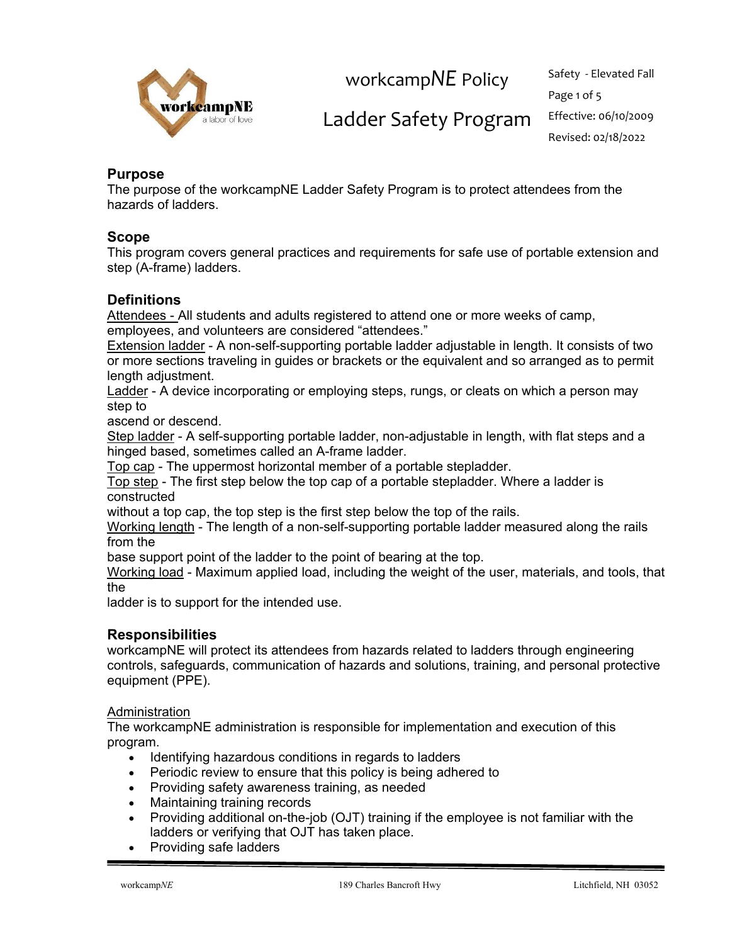

Page 1 of 5 Revised: 02/18/2022

## Ladder Safety Program Effective: 06/10/2009

### **Purpose**

The purpose of the workcampNE Ladder Safety Program is to protect attendees from the hazards of ladders.

### **Scope**

This program covers general practices and requirements for safe use of portable extension and step (A-frame) ladders.

### **Definitions**

Attendees - All students and adults registered to attend one or more weeks of camp, employees, and volunteers are considered "attendees."

Extension ladder - A non-self-supporting portable ladder adjustable in length. It consists of two or more sections traveling in guides or brackets or the equivalent and so arranged as to permit length adjustment.

Ladder - A device incorporating or employing steps, rungs, or cleats on which a person may step to

ascend or descend.

Step ladder - A self-supporting portable ladder, non-adjustable in length, with flat steps and a hinged based, sometimes called an A-frame ladder.

Top cap - The uppermost horizontal member of a portable stepladder.

Top step - The first step below the top cap of a portable stepladder. Where a ladder is constructed

without a top cap, the top step is the first step below the top of the rails.

Working length - The length of a non-self-supporting portable ladder measured along the rails from the

base support point of the ladder to the point of bearing at the top.

Working load - Maximum applied load, including the weight of the user, materials, and tools, that the

ladder is to support for the intended use.

### **Responsibilities**

workcampNE will protect its attendees from hazards related to ladders through engineering controls, safeguards, communication of hazards and solutions, training, and personal protective equipment (PPE).

#### **Administration**

The workcampNE administration is responsible for implementation and execution of this program.

- Identifying hazardous conditions in regards to ladders
- Periodic review to ensure that this policy is being adhered to
- Providing safety awareness training, as needed
- Maintaining training records
- Providing additional on-the-job (OJT) training if the employee is not familiar with the ladders or verifying that OJT has taken place.
- Providing safe ladders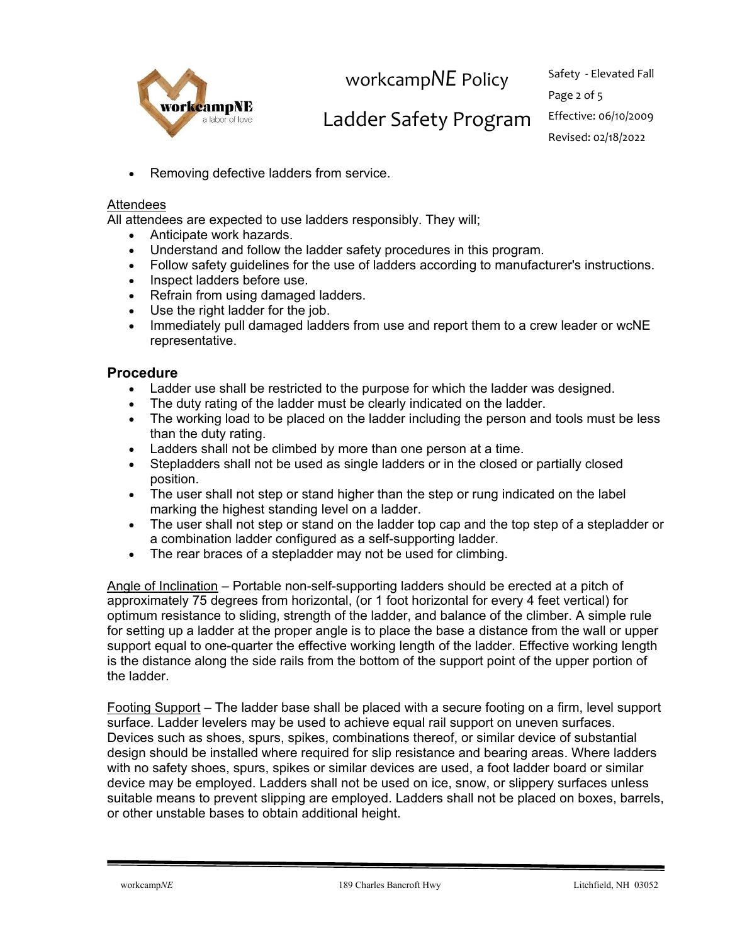

## Ladder Safety Program Effective: 06/10/2009

• Removing defective ladders from service.

#### **Attendees**

All attendees are expected to use ladders responsibly. They will;

- Anticipate work hazards.
- Understand and follow the ladder safety procedures in this program.
- Follow safety guidelines for the use of ladders according to manufacturer's instructions.
- Inspect ladders before use.
- Refrain from using damaged ladders.
- Use the right ladder for the job.
- Immediately pull damaged ladders from use and report them to a crew leader or wcNE representative.

### **Procedure**

- Ladder use shall be restricted to the purpose for which the ladder was designed.
- The duty rating of the ladder must be clearly indicated on the ladder.
- The working load to be placed on the ladder including the person and tools must be less than the duty rating.
- Ladders shall not be climbed by more than one person at a time.
- Stepladders shall not be used as single ladders or in the closed or partially closed position.
- The user shall not step or stand higher than the step or rung indicated on the label marking the highest standing level on a ladder.
- The user shall not step or stand on the ladder top cap and the top step of a stepladder or a combination ladder configured as a self-supporting ladder.
- The rear braces of a stepladder may not be used for climbing.

Angle of Inclination – Portable non-self-supporting ladders should be erected at a pitch of approximately 75 degrees from horizontal, (or 1 foot horizontal for every 4 feet vertical) for optimum resistance to sliding, strength of the ladder, and balance of the climber. A simple rule for setting up a ladder at the proper angle is to place the base a distance from the wall or upper support equal to one-quarter the effective working length of the ladder. Effective working length is the distance along the side rails from the bottom of the support point of the upper portion of the ladder.

Footing Support – The ladder base shall be placed with a secure footing on a firm, level support surface. Ladder levelers may be used to achieve equal rail support on uneven surfaces. Devices such as shoes, spurs, spikes, combinations thereof, or similar device of substantial design should be installed where required for slip resistance and bearing areas. Where ladders with no safety shoes, spurs, spikes or similar devices are used, a foot ladder board or similar device may be employed. Ladders shall not be used on ice, snow, or slippery surfaces unless suitable means to prevent slipping are employed. Ladders shall not be placed on boxes, barrels, or other unstable bases to obtain additional height.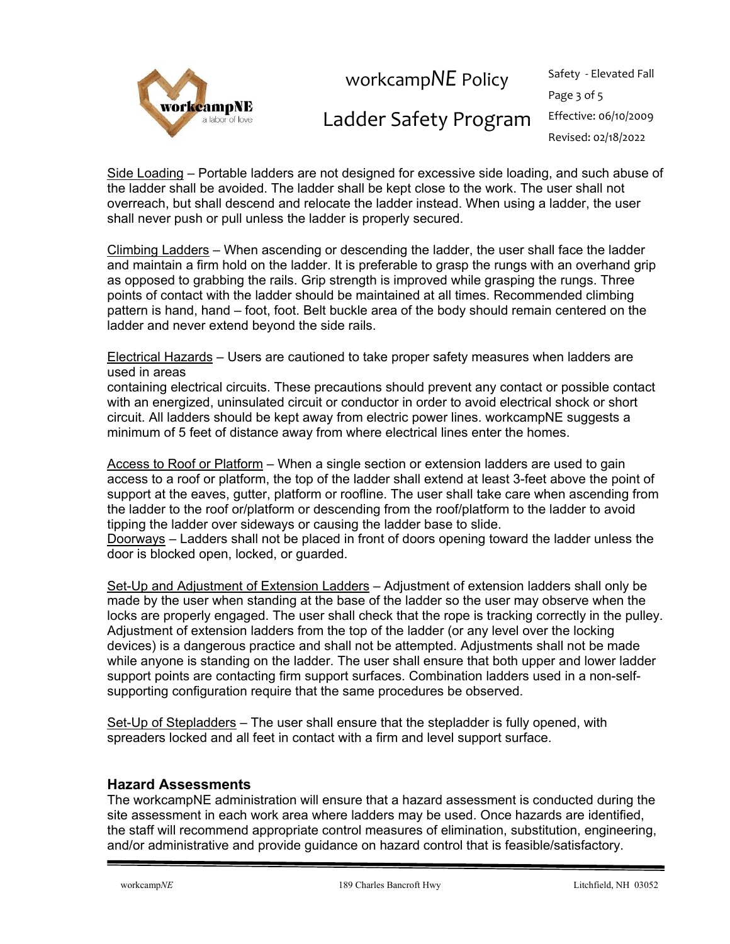

## Ladder Safety Program Effective: 06/10/2009

Page 3 of 5 Revised: 02/18/2022

Side Loading – Portable ladders are not designed for excessive side loading, and such abuse of the ladder shall be avoided. The ladder shall be kept close to the work. The user shall not overreach, but shall descend and relocate the ladder instead. When using a ladder, the user shall never push or pull unless the ladder is properly secured.

Climbing Ladders – When ascending or descending the ladder, the user shall face the ladder and maintain a firm hold on the ladder. It is preferable to grasp the rungs with an overhand grip as opposed to grabbing the rails. Grip strength is improved while grasping the rungs. Three points of contact with the ladder should be maintained at all times. Recommended climbing pattern is hand, hand – foot, foot. Belt buckle area of the body should remain centered on the ladder and never extend beyond the side rails.

Electrical Hazards – Users are cautioned to take proper safety measures when ladders are used in areas

containing electrical circuits. These precautions should prevent any contact or possible contact with an energized, uninsulated circuit or conductor in order to avoid electrical shock or short circuit. All ladders should be kept away from electric power lines. workcampNE suggests a minimum of 5 feet of distance away from where electrical lines enter the homes.

Access to Roof or Platform – When a single section or extension ladders are used to gain access to a roof or platform, the top of the ladder shall extend at least 3-feet above the point of support at the eaves, gutter, platform or roofline. The user shall take care when ascending from the ladder to the roof or/platform or descending from the roof/platform to the ladder to avoid tipping the ladder over sideways or causing the ladder base to slide.

Doorways – Ladders shall not be placed in front of doors opening toward the ladder unless the door is blocked open, locked, or guarded.

Set-Up and Adjustment of Extension Ladders – Adjustment of extension ladders shall only be made by the user when standing at the base of the ladder so the user may observe when the locks are properly engaged. The user shall check that the rope is tracking correctly in the pulley. Adjustment of extension ladders from the top of the ladder (or any level over the locking devices) is a dangerous practice and shall not be attempted. Adjustments shall not be made while anyone is standing on the ladder. The user shall ensure that both upper and lower ladder support points are contacting firm support surfaces. Combination ladders used in a non-selfsupporting configuration require that the same procedures be observed.

Set-Up of Stepladders - The user shall ensure that the stepladder is fully opened, with spreaders locked and all feet in contact with a firm and level support surface.

### **Hazard Assessments**

The workcampNE administration will ensure that a hazard assessment is conducted during the site assessment in each work area where ladders may be used. Once hazards are identified, the staff will recommend appropriate control measures of elimination, substitution, engineering, and/or administrative and provide guidance on hazard control that is feasible/satisfactory.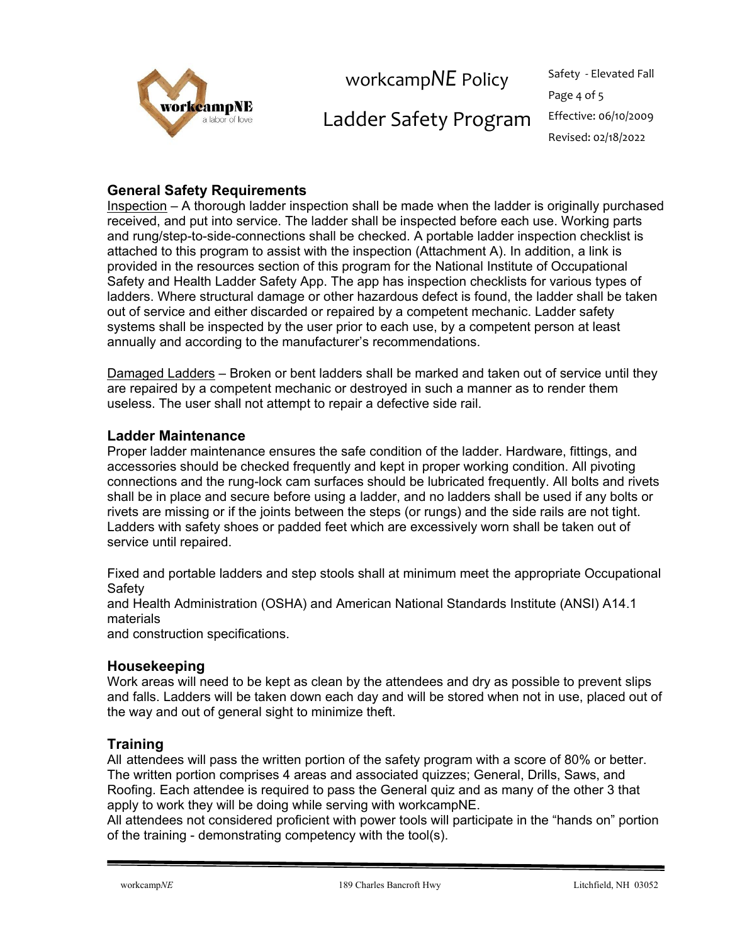

# Ladder Safety Program Effective: 06/10/2009

Page 4 of 5 Revised: 02/18/2022

## **General Safety Requirements**

Inspection – A thorough ladder inspection shall be made when the ladder is originally purchased received, and put into service. The ladder shall be inspected before each use. Working parts and rung/step-to-side-connections shall be checked. A portable ladder inspection checklist is attached to this program to assist with the inspection (Attachment A). In addition, a link is provided in the resources section of this program for the National Institute of Occupational Safety and Health Ladder Safety App. The app has inspection checklists for various types of ladders. Where structural damage or other hazardous defect is found, the ladder shall be taken out of service and either discarded or repaired by a competent mechanic. Ladder safety systems shall be inspected by the user prior to each use, by a competent person at least annually and according to the manufacturer's recommendations.

Damaged Ladders – Broken or bent ladders shall be marked and taken out of service until they are repaired by a competent mechanic or destroyed in such a manner as to render them useless. The user shall not attempt to repair a defective side rail.

### **Ladder Maintenance**

Proper ladder maintenance ensures the safe condition of the ladder. Hardware, fittings, and accessories should be checked frequently and kept in proper working condition. All pivoting connections and the rung-lock cam surfaces should be lubricated frequently. All bolts and rivets shall be in place and secure before using a ladder, and no ladders shall be used if any bolts or rivets are missing or if the joints between the steps (or rungs) and the side rails are not tight. Ladders with safety shoes or padded feet which are excessively worn shall be taken out of service until repaired.

Fixed and portable ladders and step stools shall at minimum meet the appropriate Occupational **Safety** 

and Health Administration (OSHA) and American National Standards Institute (ANSI) A14.1 materials

and construction specifications.

### **Housekeeping**

Work areas will need to be kept as clean by the attendees and dry as possible to prevent slips and falls. Ladders will be taken down each day and will be stored when not in use, placed out of the way and out of general sight to minimize theft.

### **Training**

All attendees will pass the written portion of the safety program with a score of 80% or better. The written portion comprises 4 areas and associated quizzes; General, Drills, Saws, and Roofing. Each attendee is required to pass the General quiz and as many of the other 3 that apply to work they will be doing while serving with workcampNE.

All attendees not considered proficient with power tools will participate in the "hands on" portion of the training - demonstrating competency with the tool(s).